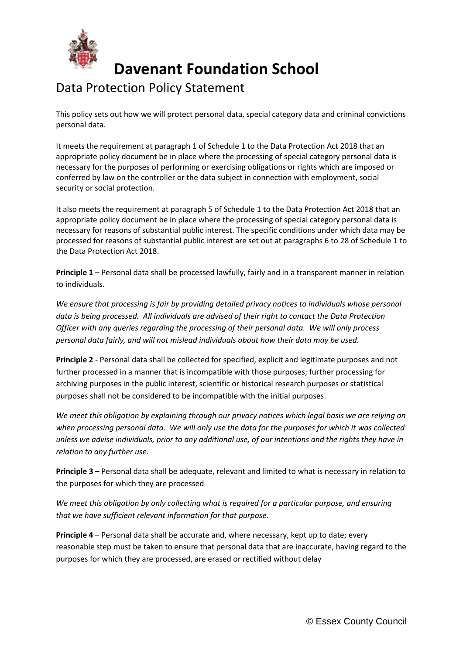

**Davenant Foundation School**

## Data Protection Policy Statement

This policy sets out how we will protect personal data, special category data and criminal convictions personal data.

It meets the requirement at paragraph 1 of Schedule 1 to the Data Protection Act 2018 that an appropriate policy document be in place where the processing of special category personal data is necessary for the purposes of performing or exercising obligations or rights which are imposed or conferred by law on the controller or the data subject in connection with employment, social security or social protection.

It also meets the requirement at paragraph 5 of Schedule 1 to the Data Protection Act 2018 that an appropriate policy document be in place where the processing of special category personal data is necessary for reasons of substantial public interest. The specific conditions under which data may be processed for reasons of substantial public interest are set out at paragraphs 6 to 28 of Schedule 1 to the Data Protection Act 2018.

**Principle 1** – Personal data shall be processed lawfully, fairly and in a transparent manner in relation to individuals.

*We ensure that processing is fair by providing detailed privacy notices to individuals whose personal data is being processed. All individuals are advised of their right to contact the Data Protection Officer with any queries regarding the processing of their personal data. We will only process personal data fairly, and will not mislead individuals about how their data may be used.*

**Principle 2** - Personal data shall be collected for specified, explicit and legitimate purposes and not further processed in a manner that is incompatible with those purposes; further processing for archiving purposes in the public interest, scientific or historical research purposes or statistical purposes shall not be considered to be incompatible with the initial purposes.

*We meet this obligation by explaining through our privacy notices which legal basis we are relying on when processing personal data. We will only use the data for the purposes for which it was collected unless we advise individuals, prior to any additional use, of our intentions and the rights they have in relation to any further use.*

**Principle 3** – Personal data shall be adequate, relevant and limited to what is necessary in relation to the purposes for which they are processed

*We meet this obligation by only collecting what is required for a particular purpose, and ensuring that we have sufficient relevant information for that purpose.*

**Principle 4** – Personal data shall be accurate and, where necessary, kept up to date; every reasonable step must be taken to ensure that personal data that are inaccurate, having regard to the purposes for which they are processed, are erased or rectified without delay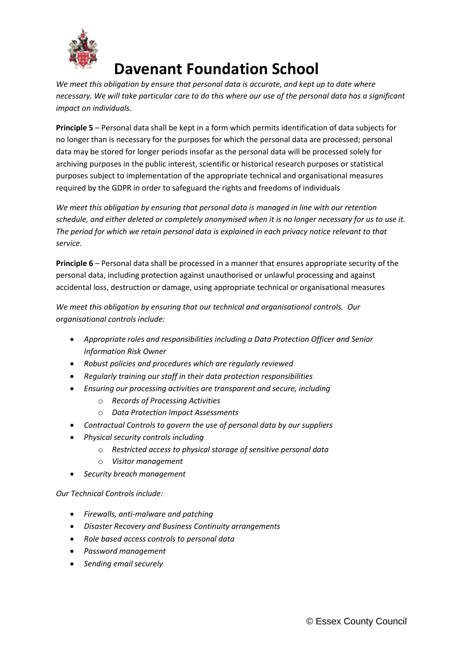

## **Davenant Foundation School**

*We meet this obligation by ensure that personal data is accurate, and kept up to date where necessary. We will take particular care to do this where our use of the personal data has a significant impact on individuals.*

**Principle 5** – Personal data shall be kept in a form which permits identification of data subjects for no longer than is necessary for the purposes for which the personal data are processed; personal data may be stored for longer periods insofar as the personal data will be processed solely for archiving purposes in the public interest, scientific or historical research purposes or statistical purposes subject to implementation of the appropriate technical and organisational measures required by the GDPR in order to safeguard the rights and freedoms of individuals

*We meet this obligation by ensuring that personal data is managed in line with our retention schedule, and either deleted or completely anonymised when it is no longer necessary for us to use it. The period for which we retain personal data is explained in each privacy notice relevant to that service.*

**Principle 6** – Personal data shall be processed in a manner that ensures appropriate security of the personal data, including protection against unauthorised or unlawful processing and against accidental loss, destruction or damage, using appropriate technical or organisational measures

*We meet this obligation by ensuring that our technical and organisational controls. Our organisational controls include:*

- *Appropriate roles and responsibilities including a Data Protection Officer and Senior Information Risk Owner*
- *Robust policies and procedures which are regularly reviewed*
- *Regularly training our staff in their data protection responsibilities*
- *Ensuring our processing activities are transparent and secure, including*
	- o *Records of Processing Activities*
	- o *Data Protection Impact Assessments*
- *Contractual Controls to govern the use of personal data by our suppliers*
- *Physical security controls including*
	- o *Restricted access to physical storage of sensitive personal data*
	- o *Visitor management*
- *Security breach management*

*Our Technical Controls include:*

- *Firewalls, anti-malware and patching*
- *Disaster Recovery and Business Continuity arrangements*
- *Role based access controls to personal data*
- *Password management*
- *Sending email securely*